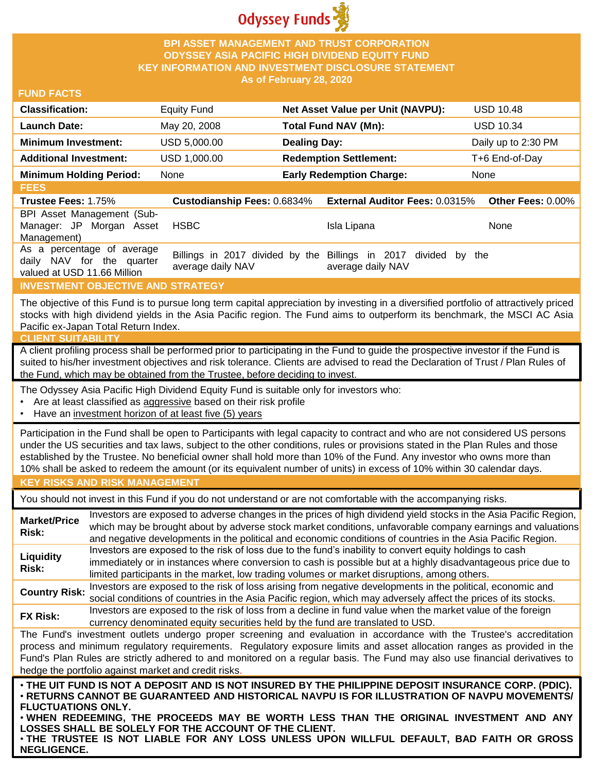

## **BPI ASSET MANAGEMENT AND TRUST CORPORATION ODYSSEY ASIA PACIFIC HIGH DIVIDEND EQUITY FUND KEY INFORMATION AND INVESTMENT DISCLOSURE STATEMENT As of February 28, 2020**

### **FUND FACTS**

| <b>Classification:</b>         | <b>Equity Fund</b> | Net Asset Value per Unit (NAVPU): | <b>USD 10.48</b>    |
|--------------------------------|--------------------|-----------------------------------|---------------------|
| <b>Launch Date:</b>            | May 20, 2008       | Total Fund NAV (Mn):              | <b>USD 10.34</b>    |
| <b>Minimum Investment:</b>     | USD 5,000.00       | <b>Dealing Day:</b>               | Daily up to 2:30 PM |
| <b>Additional Investment:</b>  | USD 1,000.00       | <b>Redemption Settlement:</b>     | T+6 End-of-Day      |
| <b>Minimum Holding Period:</b> | None               | <b>Early Redemption Charge:</b>   | None                |

| <b>Custodianship Fees: 0.6834%</b><br><b>Trustee Fees: 1.75%</b><br><b>External Auditor Fees: 0.0315% Other Fees: 0.00%</b>                                                                         |  |
|-----------------------------------------------------------------------------------------------------------------------------------------------------------------------------------------------------|--|
|                                                                                                                                                                                                     |  |
| BPI Asset Management (Sub-<br>Manager: JP Morgan Asset<br>HSBC<br>Isla Lipana<br>None<br>Management)                                                                                                |  |
| As a percentage of average<br>Billings in 2017 divided by the Billings in 2017 divided by the<br>daily NAV for the quarter<br>average daily NAV<br>average daily NAV<br>valued at USD 11.66 Million |  |

### **INVESTMENT OBJECTIVE AND STRATEGY**

The objective of this Fund is to pursue long term capital appreciation by investing in a diversified portfolio of attractively priced stocks with high dividend yields in the Asia Pacific region. The Fund aims to outperform its benchmark, the MSCI AC Asia Pacific ex-Japan Total Return Index.

#### **CLIENT SUITABILIT**

A client profiling process shall be performed prior to participating in the Fund to guide the prospective investor if the Fund is suited to his/her investment objectives and risk tolerance. Clients are advised to read the Declaration of Trust / Plan Rules of the Fund, which may be obtained from the Trustee, before deciding to invest.

The Odyssey Asia Pacific High Dividend Equity Fund is suitable only for investors who:

- Are at least classified as aggressive based on their risk profile
- Have an investment horizon of at least five (5) years

Participation in the Fund shall be open to Participants with legal capacity to contract and who are not considered US persons under the US securities and tax laws, subject to the other conditions, rules or provisions stated in the Plan Rules and those established by the Trustee. No beneficial owner shall hold more than 10% of the Fund. Any investor who owns more than 10% shall be asked to redeem the amount (or its equivalent number of units) in excess of 10% within 30 calendar days.

### **KEY RISKS AND RISK MANAGEMENT**

You should not invest in this Fund if you do not understand or are not comfortable with the accompanying risks.

**Market/Price Risk:** Investors are exposed to adverse changes in the prices of high dividend yield stocks in the Asia Pacific Region, which may be brought about by adverse stock market conditions, unfavorable company earnings and valuations and negative developments in the political and economic conditions of countries in the Asia Pacific Region. **Liquidity Risk:** Investors are exposed to the risk of loss due to the fund's inability to convert equity holdings to cash immediately or in instances where conversion to cash is possible but at a highly disadvantageous price due to limited participants in the market, low trading volumes or market disruptions, among others. **Country Risk:** Investors are exposed to the risk of loss arising from negative developments in the political, economic and<br>Country Risk: experiment is and countries in the Asia Resification which were at your above at the

social conditions of countries in the Asia Pacific region, which may adversely affect the prices of its stocks. **FX Risk:** Investors are exposed to the risk of loss from a decline in fund value when the market value of the foreign

currency denominated equity securities held by the fund are translated to USD.

The Fund's investment outlets undergo proper screening and evaluation in accordance with the Trustee's accreditation process and minimum regulatory requirements. Regulatory exposure limits and asset allocation ranges as provided in the Fund's Plan Rules are strictly adhered to and monitored on a regular basis. The Fund may also use financial derivatives to hedge the portfolio against market and credit risks.

. THE UIT FUND IS NOT A DEPOSIT AND IS NOT INSURED BY THE PHILIPPINE DEPOSIT INSURANCE CORP. (PDIC). • **RETURNS CANNOT BE GUARANTEED AND HISTORICAL NAVPU IS FOR ILLUSTRATION OF NAVPU MOVEMENTS/ FLUCTUATIONS ONLY.**

• **WHEN REDEEMING, THE PROCEEDS MAY BE WORTH LESS THAN THE ORIGINAL INVESTMENT AND ANY LOSSES SHALL BE SOLELY FOR THE ACCOUNT OF THE CLIENT.**

• **THE TRUSTEE IS NOT LIABLE FOR ANY LOSS UNLESS UPON WILLFUL DEFAULT, BAD FAITH OR GROSS NEGLIGENCE.**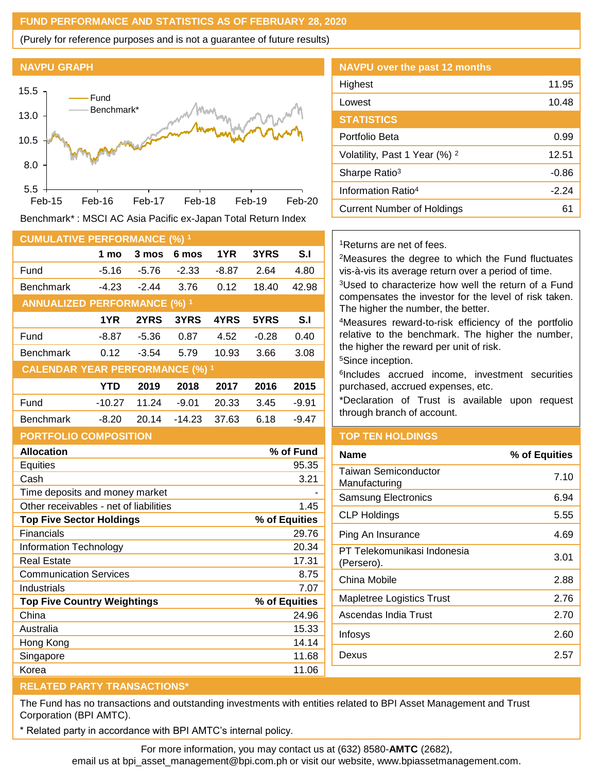## **FUND PERFORMANCE AND STATISTICS AS OF FEBRUARY 28, 2020**

(Purely for reference purposes and is not a guarantee of future results)





Benchmark\* : MSCI AC Asia Pacific ex-Japan Total Return Index

| <b>CUMULATIVE PERFORMANCE (%) 1</b>    |          |         |          |         |         |           |
|----------------------------------------|----------|---------|----------|---------|---------|-----------|
|                                        | 1 mo     | 3 mos   | 6 mos    | 1YR     | 3YRS    | S.I       |
| Fund                                   | $-5.16$  | $-5.76$ | $-2.33$  | $-8.87$ | 2.64    | 4.80      |
| <b>Benchmark</b>                       | $-4.23$  | $-2.44$ | 3.76     | 0.12    | 18.40   | 42.98     |
| <b>ANNUALIZED PERFORMANCE (%) 1</b>    |          |         |          |         |         |           |
|                                        | 1YR      | 2YRS    | 3YRS     | 4YRS    | 5YRS    | S.I       |
| Fund                                   | -8.87    | $-5.36$ | 0.87     | 4.52    | $-0.28$ | 0.40      |
| <b>Benchmark</b>                       | 0.12     | $-3.54$ | 5.79     | 10.93   | 3.66    | 3.08      |
| <b>CALENDAR YEAR PERFORMANCE (%) 1</b> |          |         |          |         |         |           |
|                                        | YTD      | 2019    | 2018     | 2017    | 2016    | 2015      |
| Fund                                   | $-10.27$ | 11.24   | $-9.01$  | 20.33   | 3.45    | $-9.91$   |
| <b>Benchmark</b>                       | $-8.20$  | 20.14   | $-14.23$ | 37.63   | 6.18    | $-9.47$   |
| <b>PORTFOLIO COMPOSITION</b>           |          |         |          |         |         |           |
| <b>Allocation</b>                      |          |         |          |         |         | % of Fund |

| Equities                               | 95.35         |
|----------------------------------------|---------------|
| Cash                                   | 3.21          |
| Time deposits and money market         |               |
| Other receivables - net of liabilities | 1.45          |
| <b>Top Five Sector Holdings</b>        | % of Equities |
| Financials                             | 29.76         |
| Information Technology                 | 20.34         |
| Real Estate                            | 17.31         |
| <b>Communication Services</b>          | 8.75          |
| Industrials                            | 7.07          |
| <b>Top Five Country Weightings</b>     | % of Equities |
| China                                  | 24.96         |
| Australia                              | 15.33         |
| Hong Kong                              | 14.14         |
| Singapore                              | 11.68         |
| Korea                                  | 11.06         |

| <b>NAVPU over the past 12 months</b>     |         |
|------------------------------------------|---------|
| Highest                                  | 11.95   |
| Lowest                                   | 10.48   |
| <b>STATISTICS</b>                        |         |
| Portfolio Beta                           | 0.99    |
| Volatility, Past 1 Year (%) <sup>2</sup> | 12.51   |
| Sharpe Ratio <sup>3</sup>                | $-0.86$ |
| Information Ratio <sup>4</sup>           | -2 24   |
| Current Number of Holdings               | 61      |

<sup>1</sup>Returns are net of fees.

<sup>2</sup>Measures the degree to which the Fund fluctuates vis-à-vis its average return over a period of time.

<sup>3</sup>Used to characterize how well the return of a Fund compensates the investor for the level of risk taken. The higher the number, the better.

<sup>4</sup>Measures reward-to-risk efficiency of the portfolio relative to the benchmark. The higher the number, the higher the reward per unit of risk.

<sup>5</sup>Since inception.

6 Includes accrued income, investment securities purchased, accrued expenses, etc.

\*Declaration of Trust is available upon request through branch of account.

# **TOP TEN HOLDINGS**

| Name                                      | % of Equities |
|-------------------------------------------|---------------|
| Taiwan Semiconductor<br>Manufacturing     | 7.10          |
| <b>Samsung Electronics</b>                | 6.94          |
| <b>CLP Holdings</b>                       | 5.55          |
| Ping An Insurance                         | 4.69          |
| PT Telekomunikasi Indonesia<br>(Persero). | 3.01          |
| China Mobile                              | 2.88          |
| Mapletree Logistics Trust                 | 2.76          |
| Ascendas India Trust                      | 2.70          |
| Infosys                                   | 2.60          |
| Dexus                                     | 2.57          |
|                                           |               |

## **RELATED PARTY TRANSACTIONS\***

The Fund has no transactions and outstanding investments with entities related to BPI Asset Management and Trust Corporation (BPI AMTC).

Related party in accordance with BPI AMTC's internal policy.

For more information, you may contact us at (632) 8580-**AMTC** (2682),

email us at bpi\_asset\_management@bpi.com.ph or visit our website, www.bpiassetmanagement.com.